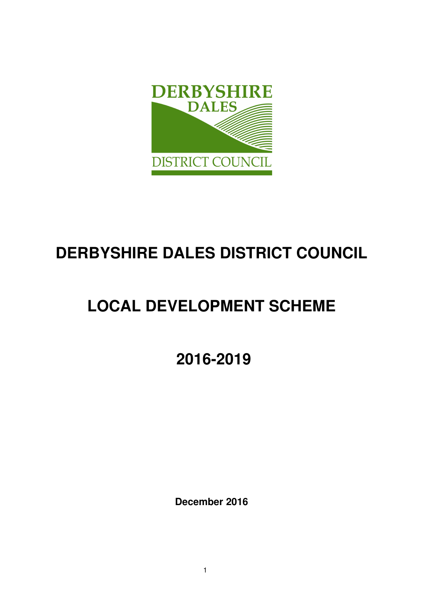

# **DERBYSHIRE DALES DISTRICT COUNCIL**

# **LOCAL DEVELOPMENT SCHEME**

 **2016-2019** 

**December 2016**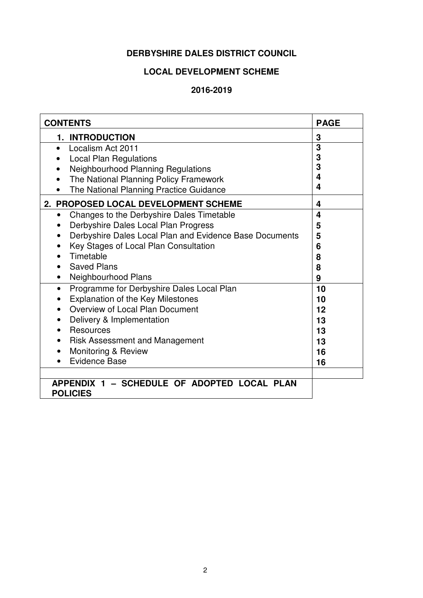# **DERBYSHIRE DALES DISTRICT COUNCIL**

# **LOCAL DEVELOPMENT SCHEME**

#### **2016-2019**

| <b>CONTENTS</b>                                                | <b>PAGE</b> |
|----------------------------------------------------------------|-------------|
| 1. INTRODUCTION                                                | 3           |
| Localism Act 2011<br>$\bullet$                                 | 3           |
| <b>Local Plan Regulations</b>                                  | 3           |
| Neighbourhood Planning Regulations                             | 3           |
| The National Planning Policy Framework                         | 4           |
| The National Planning Practice Guidance                        | 4           |
| 2. PROPOSED LOCAL DEVELOPMENT SCHEME                           | 4           |
| Changes to the Derbyshire Dales Timetable<br>$\bullet$         | 4           |
| Derbyshire Dales Local Plan Progress                           | 5           |
| Derbyshire Dales Local Plan and Evidence Base Documents        | 5           |
| Key Stages of Local Plan Consultation                          | 6           |
| Timetable                                                      | 8           |
| <b>Saved Plans</b>                                             | 8           |
| Neighbourhood Plans                                            | 9           |
| Programme for Derbyshire Dales Local Plan<br>$\bullet$         | 10          |
| <b>Explanation of the Key Milestones</b><br>$\bullet$          | 10          |
| Overview of Local Plan Document<br>$\bullet$                   | 12          |
| Delivery & Implementation                                      | 13          |
| Resources                                                      | 13          |
| <b>Risk Assessment and Management</b>                          | 13          |
| Monitoring & Review                                            | 16          |
| <b>Evidence Base</b>                                           | 16          |
|                                                                |             |
| APPENDIX 1 - SCHEDULE OF ADOPTED LOCAL PLAN<br><b>POLICIES</b> |             |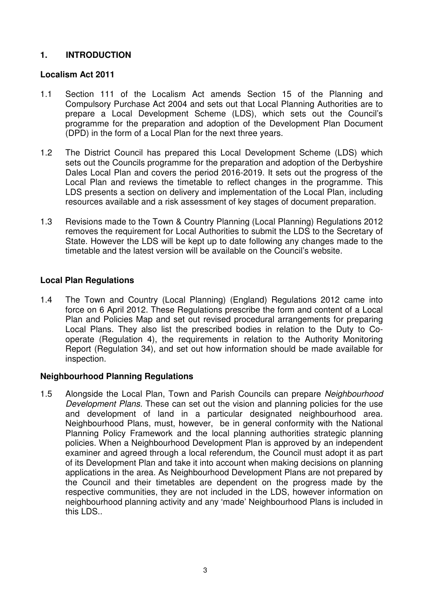# **1. INTRODUCTION**

#### **Localism Act 2011**

- 1.1 Section 111 of the Localism Act amends Section 15 of the Planning and Compulsory Purchase Act 2004 and sets out that Local Planning Authorities are to prepare a Local Development Scheme (LDS), which sets out the Council's programme for the preparation and adoption of the Development Plan Document (DPD) in the form of a Local Plan for the next three years.
- 1.2 The District Council has prepared this Local Development Scheme (LDS) which sets out the Councils programme for the preparation and adoption of the Derbyshire Dales Local Plan and covers the period 2016-2019. It sets out the progress of the Local Plan and reviews the timetable to reflect changes in the programme. This LDS presents a section on delivery and implementation of the Local Plan, including resources available and a risk assessment of key stages of document preparation.
- 1.3 Revisions made to the Town & Country Planning (Local Planning) Regulations 2012 removes the requirement for Local Authorities to submit the LDS to the Secretary of State. However the LDS will be kept up to date following any changes made to the timetable and the latest version will be available on the Council's website.

# **Local Plan Regulations**

1.4 The Town and Country (Local Planning) (England) Regulations 2012 came into force on 6 April 2012. These Regulations prescribe the form and content of a Local Plan and Policies Map and set out revised procedural arrangements for preparing Local Plans. They also list the prescribed bodies in relation to the Duty to Cooperate (Regulation 4), the requirements in relation to the Authority Monitoring Report (Regulation 34), and set out how information should be made available for inspection.

#### **Neighbourhood Planning Regulations**

1.5 Alongside the Local Plan, Town and Parish Councils can prepare Neighbourhood Development Plans. These can set out the vision and planning policies for the use and development of land in a particular designated neighbourhood area. Neighbourhood Plans, must, however, be in general conformity with the National Planning Policy Framework and the local planning authorities strategic planning policies. When a Neighbourhood Development Plan is approved by an independent examiner and agreed through a local referendum, the Council must adopt it as part of its Development Plan and take it into account when making decisions on planning applications in the area. As Neighbourhood Development Plans are not prepared by the Council and their timetables are dependent on the progress made by the respective communities, they are not included in the LDS, however information on neighbourhood planning activity and any 'made' Neighbourhood Plans is included in this LDS..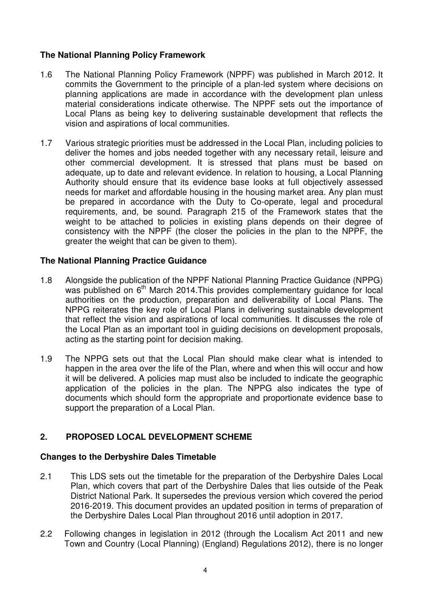# **The National Planning Policy Framework**

- 1.6 The National Planning Policy Framework (NPPF) was published in March 2012. It commits the Government to the principle of a plan-led system where decisions on planning applications are made in accordance with the development plan unless material considerations indicate otherwise. The NPPF sets out the importance of Local Plans as being key to delivering sustainable development that reflects the vision and aspirations of local communities.
- 1.7 Various strategic priorities must be addressed in the Local Plan, including policies to deliver the homes and jobs needed together with any necessary retail, leisure and other commercial development. It is stressed that plans must be based on adequate, up to date and relevant evidence. In relation to housing, a Local Planning Authority should ensure that its evidence base looks at full objectively assessed needs for market and affordable housing in the housing market area. Any plan must be prepared in accordance with the Duty to Co-operate, legal and procedural requirements, and, be sound. Paragraph 215 of the Framework states that the weight to be attached to policies in existing plans depends on their degree of consistency with the NPPF (the closer the policies in the plan to the NPPF, the areater the weight that can be given to them).

# **The National Planning Practice Guidance**

- 1.8 Alongside the publication of the NPPF National Planning Practice Guidance (NPPG) was published on  $6<sup>th</sup>$  March 2014. This provides complementary quidance for local authorities on the production, preparation and deliverability of Local Plans. The NPPG reiterates the key role of Local Plans in delivering sustainable development that reflect the vision and aspirations of local communities. It discusses the role of the Local Plan as an important tool in guiding decisions on development proposals, acting as the starting point for decision making.
- 1.9 The NPPG sets out that the Local Plan should make clear what is intended to happen in the area over the life of the Plan, where and when this will occur and how it will be delivered. A policies map must also be included to indicate the geographic application of the policies in the plan. The NPPG also indicates the type of documents which should form the appropriate and proportionate evidence base to support the preparation of a Local Plan.

# **2. PROPOSED LOCAL DEVELOPMENT SCHEME**

#### **Changes to the Derbyshire Dales Timetable**

- 2.1 This LDS sets out the timetable for the preparation of the Derbyshire Dales Local Plan, which covers that part of the Derbyshire Dales that lies outside of the Peak District National Park. It supersedes the previous version which covered the period 2016-2019. This document provides an updated position in terms of preparation of the Derbyshire Dales Local Plan throughout 2016 until adoption in 2017.
- 2.2 Following changes in legislation in 2012 (through the Localism Act 2011 and new Town and Country (Local Planning) (England) Regulations 2012), there is no longer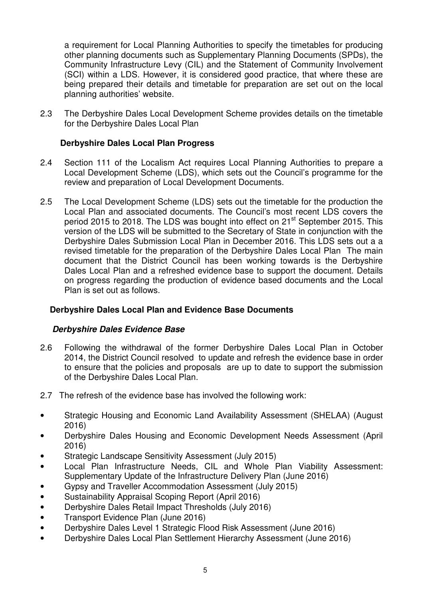a requirement for Local Planning Authorities to specify the timetables for producing other planning documents such as Supplementary Planning Documents (SPDs), the Community Infrastructure Levy (CIL) and the Statement of Community Involvement (SCI) within a LDS. However, it is considered good practice, that where these are being prepared their details and timetable for preparation are set out on the local planning authorities' website.

2.3 The Derbyshire Dales Local Development Scheme provides details on the timetable for the Derbyshire Dales Local Plan

# **Derbyshire Dales Local Plan Progress**

- 2.4 Section 111 of the Localism Act requires Local Planning Authorities to prepare a Local Development Scheme (LDS), which sets out the Council's programme for the review and preparation of Local Development Documents.
- 2.5 The Local Development Scheme (LDS) sets out the timetable for the production the Local Plan and associated documents. The Council's most recent LDS covers the period 2015 to 2018. The LDS was bought into effect on 21<sup>st</sup> September 2015. This version of the LDS will be submitted to the Secretary of State in conjunction with the Derbyshire Dales Submission Local Plan in December 2016. This LDS sets out a a revised timetable for the preparation of the Derbyshire Dales Local Plan The main document that the District Council has been working towards is the Derbyshire Dales Local Plan and a refreshed evidence base to support the document. Details on progress regarding the production of evidence based documents and the Local Plan is set out as follows.

# **Derbyshire Dales Local Plan and Evidence Base Documents**

# **Derbyshire Dales Evidence Base**

- 2.6 Following the withdrawal of the former Derbyshire Dales Local Plan in October 2014, the District Council resolved to update and refresh the evidence base in order to ensure that the policies and proposals are up to date to support the submission of the Derbyshire Dales Local Plan.
- 2.7 The refresh of the evidence base has involved the following work:
- Strategic Housing and Economic Land Availability Assessment (SHELAA) (August 2016)
- Derbyshire Dales Housing and Economic Development Needs Assessment (April 2016)
- Strategic Landscape Sensitivity Assessment (July 2015)
- Local Plan Infrastructure Needs, CIL and Whole Plan Viability Assessment: Supplementary Update of the Infrastructure Delivery Plan (June 2016)
- Gypsy and Traveller Accommodation Assessment (July 2015)
- Sustainability Appraisal Scoping Report (April 2016)
- Derbyshire Dales Retail Impact Thresholds (July 2016)
- Transport Evidence Plan (June 2016)
- Derbyshire Dales Level 1 Strategic Flood Risk Assessment (June 2016)
- Derbyshire Dales Local Plan Settlement Hierarchy Assessment (June 2016)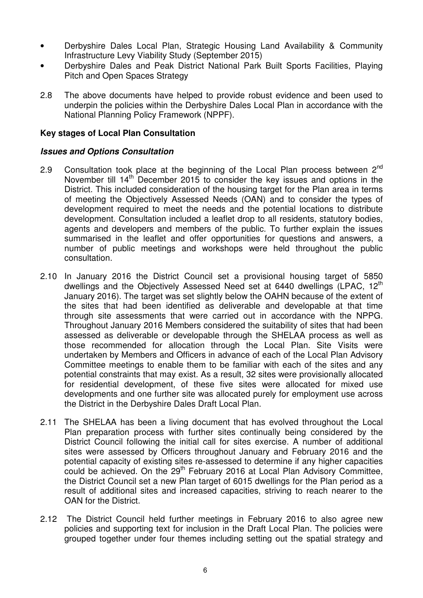- Derbyshire Dales Local Plan, Strategic Housing Land Availability & Community Infrastructure Levy Viability Study (September 2015)
- Derbyshire Dales and Peak District National Park Built Sports Facilities, Playing Pitch and Open Spaces Strategy
- 2.8 The above documents have helped to provide robust evidence and been used to underpin the policies within the Derbyshire Dales Local Plan in accordance with the National Planning Policy Framework (NPPF).

#### **Key stages of Local Plan Consultation**

#### **Issues and Options Consultation**

- 2.9 Consultation took place at the beginning of the Local Plan process between  $2^{nd}$ November till 14<sup>th</sup> December 2015 to consider the key issues and options in the District. This included consideration of the housing target for the Plan area in terms of meeting the Objectively Assessed Needs (OAN) and to consider the types of development required to meet the needs and the potential locations to distribute development. Consultation included a leaflet drop to all residents, statutory bodies, agents and developers and members of the public. To further explain the issues summarised in the leaflet and offer opportunities for questions and answers, a number of public meetings and workshops were held throughout the public consultation.
- 2.10 In January 2016 the District Council set a provisional housing target of 5850 dwellings and the Objectively Assessed Need set at 6440 dwellings (LPAC, 12<sup>th</sup>) January 2016). The target was set slightly below the OAHN because of the extent of the sites that had been identified as deliverable and developable at that time through site assessments that were carried out in accordance with the NPPG. Throughout January 2016 Members considered the suitability of sites that had been assessed as deliverable or developable through the SHELAA process as well as those recommended for allocation through the Local Plan. Site Visits were undertaken by Members and Officers in advance of each of the Local Plan Advisory Committee meetings to enable them to be familiar with each of the sites and any potential constraints that may exist. As a result, 32 sites were provisionally allocated for residential development, of these five sites were allocated for mixed use developments and one further site was allocated purely for employment use across the District in the Derbyshire Dales Draft Local Plan.
- 2.11 The SHELAA has been a living document that has evolved throughout the Local Plan preparation process with further sites continually being considered by the District Council following the initial call for sites exercise. A number of additional sites were assessed by Officers throughout January and February 2016 and the potential capacity of existing sites re-assessed to determine if any higher capacities could be achieved. On the 29<sup>th</sup> February 2016 at Local Plan Advisory Committee, the District Council set a new Plan target of 6015 dwellings for the Plan period as a result of additional sites and increased capacities, striving to reach nearer to the OAN for the District.
- 2.12 The District Council held further meetings in February 2016 to also agree new policies and supporting text for inclusion in the Draft Local Plan. The policies were grouped together under four themes including setting out the spatial strategy and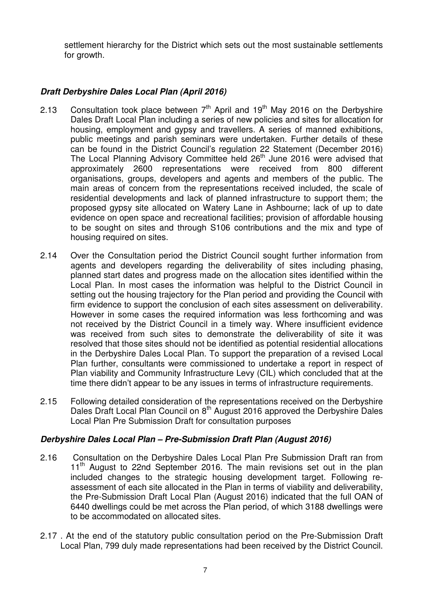settlement hierarchy for the District which sets out the most sustainable settlements for growth.

# **Draft Derbyshire Dales Local Plan (April 2016)**

- 2.13 Consultation took place between  $7<sup>th</sup>$  April and 19<sup>th</sup> May 2016 on the Derbyshire Dales Draft Local Plan including a series of new policies and sites for allocation for housing, employment and gypsy and travellers. A series of manned exhibitions, public meetings and parish seminars were undertaken. Further details of these can be found in the District Council's regulation 22 Statement (December 2016) The Local Planning Advisory Committee held 26<sup>th</sup> June 2016 were advised that approximately 2600 representations were received from 800 different organisations, groups, developers and agents and members of the public. The main areas of concern from the representations received included, the scale of residential developments and lack of planned infrastructure to support them; the proposed gypsy site allocated on Watery Lane in Ashbourne; lack of up to date evidence on open space and recreational facilities; provision of affordable housing to be sought on sites and through S106 contributions and the mix and type of housing required on sites.
- 2.14 Over the Consultation period the District Council sought further information from agents and developers regarding the deliverability of sites including phasing, planned start dates and progress made on the allocation sites identified within the Local Plan. In most cases the information was helpful to the District Council in setting out the housing trajectory for the Plan period and providing the Council with firm evidence to support the conclusion of each sites assessment on deliverability. However in some cases the required information was less forthcoming and was not received by the District Council in a timely way. Where insufficient evidence was received from such sites to demonstrate the deliverability of site it was resolved that those sites should not be identified as potential residential allocations in the Derbyshire Dales Local Plan. To support the preparation of a revised Local Plan further, consultants were commissioned to undertake a report in respect of Plan viability and Community Infrastructure Levy (CIL) which concluded that at the time there didn't appear to be any issues in terms of infrastructure requirements.
- 2.15 Following detailed consideration of the representations received on the Derbyshire Dales Draft Local Plan Council on 8<sup>th</sup> August 2016 approved the Derbyshire Dales Local Plan Pre Submission Draft for consultation purposes

# **Derbyshire Dales Local Plan – Pre-Submission Draft Plan (August 2016)**

- 2.16 Consultation on the Derbyshire Dales Local Plan Pre Submission Draft ran from  $11<sup>th</sup>$  August to 22nd September 2016. The main revisions set out in the plan included changes to the strategic housing development target. Following reassessment of each site allocated in the Plan in terms of viability and deliverability, the Pre-Submission Draft Local Plan (August 2016) indicated that the full OAN of 6440 dwellings could be met across the Plan period, of which 3188 dwellings were to be accommodated on allocated sites.
- 2.17 . At the end of the statutory public consultation period on the Pre-Submission Draft Local Plan, 799 duly made representations had been received by the District Council.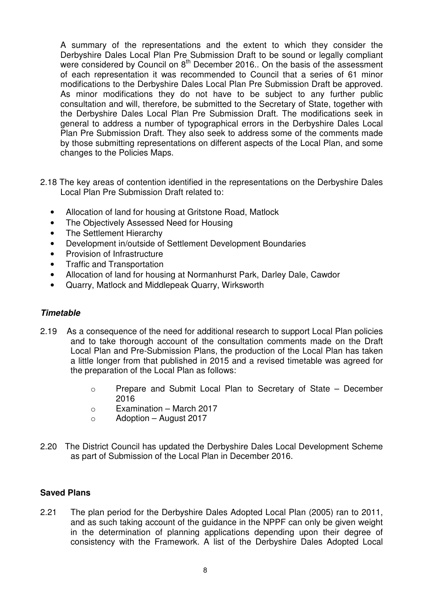A summary of the representations and the extent to which they consider the Derbyshire Dales Local Plan Pre Submission Draft to be sound or legally compliant were considered by Council on  $8<sup>th</sup>$  December 2016.. On the basis of the assessment of each representation it was recommended to Council that a series of 61 minor modifications to the Derbyshire Dales Local Plan Pre Submission Draft be approved. As minor modifications they do not have to be subject to any further public consultation and will, therefore, be submitted to the Secretary of State, together with the Derbyshire Dales Local Plan Pre Submission Draft. The modifications seek in general to address a number of typographical errors in the Derbyshire Dales Local Plan Pre Submission Draft. They also seek to address some of the comments made by those submitting representations on different aspects of the Local Plan, and some changes to the Policies Maps.

- 2.18 The key areas of contention identified in the representations on the Derbyshire Dales Local Plan Pre Submission Draft related to:
	- Allocation of land for housing at Gritstone Road, Matlock
	- The Objectively Assessed Need for Housing
	- The Settlement Hierarchy
	- Development in/outside of Settlement Development Boundaries
	- Provision of Infrastructure
	- Traffic and Transportation
	- Allocation of land for housing at Normanhurst Park, Darley Dale, Cawdor
	- Quarry, Matlock and Middlepeak Quarry, Wirksworth

# **Timetable**

- 2.19 As a consequence of the need for additional research to support Local Plan policies and to take thorough account of the consultation comments made on the Draft Local Plan and Pre-Submission Plans, the production of the Local Plan has taken a little longer from that published in 2015 and a revised timetable was agreed for the preparation of the Local Plan as follows:
	- o Prepare and Submit Local Plan to Secretary of State December 2016
	- o Examination March 2017
	- $\circ$  Adoption August 2017
- 2.20 The District Council has updated the Derbyshire Dales Local Development Scheme as part of Submission of the Local Plan in December 2016.

# **Saved Plans**

2.21 The plan period for the Derbyshire Dales Adopted Local Plan (2005) ran to 2011, and as such taking account of the guidance in the NPPF can only be given weight in the determination of planning applications depending upon their degree of consistency with the Framework. A list of the Derbyshire Dales Adopted Local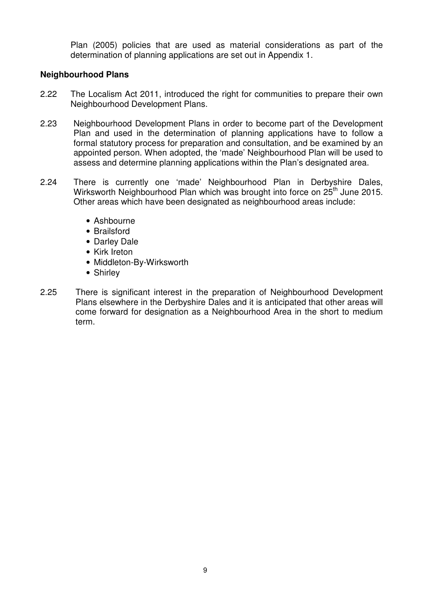Plan (2005) policies that are used as material considerations as part of the determination of planning applications are set out in Appendix 1.

#### **Neighbourhood Plans**

- 2.22 The Localism Act 2011, introduced the right for communities to prepare their own Neighbourhood Development Plans.
- 2.23 Neighbourhood Development Plans in order to become part of the Development Plan and used in the determination of planning applications have to follow a formal statutory process for preparation and consultation, and be examined by an appointed person. When adopted, the 'made' Neighbourhood Plan will be used to assess and determine planning applications within the Plan's designated area.
- 2.24 There is currently one 'made' Neighbourhood Plan in Derbyshire Dales, Wirksworth Neighbourhood Plan which was brought into force on 25<sup>th</sup> June 2015. Other areas which have been designated as neighbourhood areas include:
	- Ashbourne
	- Brailsford
	- Darley Dale
	- Kirk Ireton
	- Middleton-By-Wirksworth
	- Shirley
- 2.25 There is significant interest in the preparation of Neighbourhood Development Plans elsewhere in the Derbyshire Dales and it is anticipated that other areas will come forward for designation as a Neighbourhood Area in the short to medium term.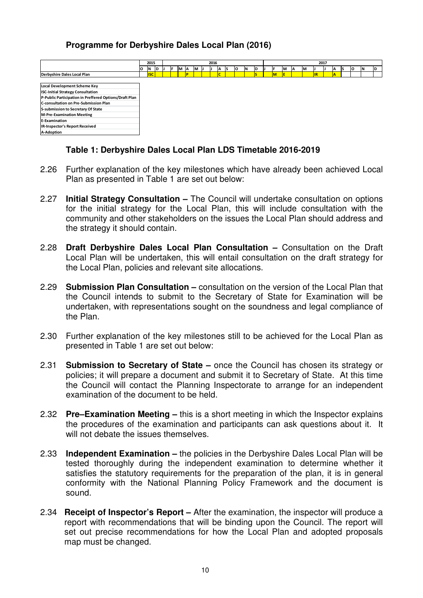#### **Programme for Derbyshire Dales Local Plan (2016)**

|                                                        | 2015 |            |  | 2016 |  |   |    |    |  | 2017 |    |      |    |           |  |  |   |   |    |     |    |    |    |          |    |    |
|--------------------------------------------------------|------|------------|--|------|--|---|----|----|--|------|----|------|----|-----------|--|--|---|---|----|-----|----|----|----|----------|----|----|
|                                                        | IО   | N D        |  |      |  | M | ΙA | IМ |  |      | ΙA | - IS | lo | <b>IN</b> |  |  |   | M | ΙA | IM. |    | ΙA | ıs | <b>O</b> | 1N | ID |
| Derbyshire Dales Local Plan                            |      | <b>ISC</b> |  |      |  |   |    |    |  |      |    |      |    |           |  |  | M | E |    |     | IR |    |    |          |    |    |
|                                                        |      |            |  |      |  |   |    |    |  |      |    |      |    |           |  |  |   |   |    |     |    |    |    |          |    |    |
| Local Development Scheme Key                           |      |            |  |      |  |   |    |    |  |      |    |      |    |           |  |  |   |   |    |     |    |    |    |          |    |    |
| <b>ISC-Initial Strategy Consultation</b>               |      |            |  |      |  |   |    |    |  |      |    |      |    |           |  |  |   |   |    |     |    |    |    |          |    |    |
| P-Public Participation in Preffered Options/Draft Plan |      |            |  |      |  |   |    |    |  |      |    |      |    |           |  |  |   |   |    |     |    |    |    |          |    |    |
| C-consultation on Pre-Submission Plan                  |      |            |  |      |  |   |    |    |  |      |    |      |    |           |  |  |   |   |    |     |    |    |    |          |    |    |
| S-submission to Secretary Of State                     |      |            |  |      |  |   |    |    |  |      |    |      |    |           |  |  |   |   |    |     |    |    |    |          |    |    |
| <b>M-Pre-Examination Meeting</b>                       |      |            |  |      |  |   |    |    |  |      |    |      |    |           |  |  |   |   |    |     |    |    |    |          |    |    |
| E-Examination                                          |      |            |  |      |  |   |    |    |  |      |    |      |    |           |  |  |   |   |    |     |    |    |    |          |    |    |
| IR-Inspector's Report Received                         |      |            |  |      |  |   |    |    |  |      |    |      |    |           |  |  |   |   |    |     |    |    |    |          |    |    |
| A-Adoption                                             |      |            |  |      |  |   |    |    |  |      |    |      |    |           |  |  |   |   |    |     |    |    |    |          |    |    |

#### **Table 1: Derbyshire Dales Local Plan LDS Timetable 2016-2019**

- 2.26 Further explanation of the key milestones which have already been achieved Local Plan as presented in Table 1 are set out below:
- 2.27 **Initial Strategy Consultation** The Council will undertake consultation on options for the initial strategy for the Local Plan, this will include consultation with the community and other stakeholders on the issues the Local Plan should address and the strategy it should contain.
- 2.28 **Draft Derbyshire Dales Local Plan Consultation** Consultation on the Draft Local Plan will be undertaken, this will entail consultation on the draft strategy for the Local Plan, policies and relevant site allocations.
- 2.29 **Submission Plan Consultation** consultation on the version of the Local Plan that the Council intends to submit to the Secretary of State for Examination will be undertaken, with representations sought on the soundness and legal compliance of the Plan.
- 2.30 Further explanation of the key milestones still to be achieved for the Local Plan as presented in Table 1 are set out below:
- 2.31 **Submission to Secretary of State** once the Council has chosen its strategy or policies; it will prepare a document and submit it to Secretary of State. At this time the Council will contact the Planning Inspectorate to arrange for an independent examination of the document to be held.
- 2.32 **Pre–Examination Meeting** this is a short meeting in which the Inspector explains the procedures of the examination and participants can ask questions about it. It will not debate the issues themselves.
- 2.33 **Independent Examination** the policies in the Derbyshire Dales Local Plan will be tested thoroughly during the independent examination to determine whether it satisfies the statutory requirements for the preparation of the plan, it is in general conformity with the National Planning Policy Framework and the document is sound.
- 2.34 **Receipt of Inspector's Report** After the examination, the inspector will produce a report with recommendations that will be binding upon the Council. The report will set out precise recommendations for how the Local Plan and adopted proposals map must be changed.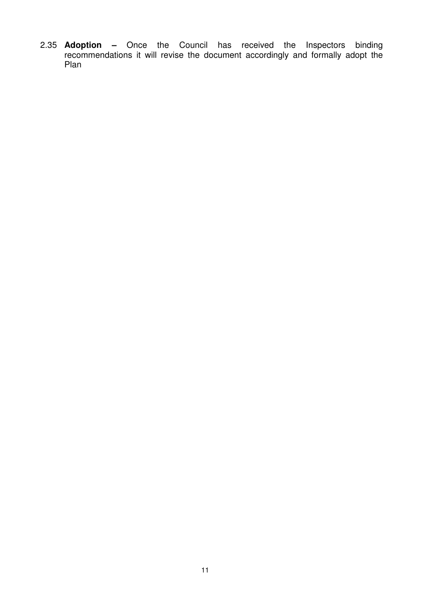2.35 **Adoption –** Once the Council has received the Inspectors binding recommendations it will revise the document accordingly and formally adopt the Plan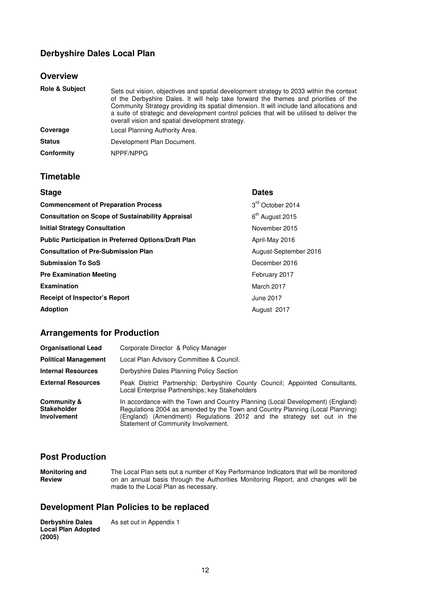# **Derbyshire Dales Local Plan**

#### **Overview**

| <b>Role &amp; Subject</b> | Sets out vision, objectives and spatial development strategy to 2033 within the context<br>of the Derbyshire Dales. It will help take forward the themes and priorities of the<br>Community Strategy providing its spatial dimension. It will include land allocations and<br>a suite of strategic and development control policies that will be utilised to deliver the<br>overall vision and spatial development strategy. |
|---------------------------|------------------------------------------------------------------------------------------------------------------------------------------------------------------------------------------------------------------------------------------------------------------------------------------------------------------------------------------------------------------------------------------------------------------------------|
| Coverage                  | Local Planning Authority Area.                                                                                                                                                                                                                                                                                                                                                                                               |
| <b>Status</b>             | Development Plan Document.                                                                                                                                                                                                                                                                                                                                                                                                   |
| Conformity                | NPPF/NPPG                                                                                                                                                                                                                                                                                                                                                                                                                    |

#### **Timetable**

| <b>Stage</b>                                             | <b>Dates</b>                |
|----------------------------------------------------------|-----------------------------|
| <b>Commencement of Preparation Process</b>               | 3rd October 2014            |
| <b>Consultation on Scope of Sustainability Appraisal</b> | 6 <sup>th</sup> August 2015 |
| <b>Initial Strategy Consultation</b>                     | November 2015               |
| Public Participation in Preferred Options/Draft Plan     | April-May 2016              |
| <b>Consultation of Pre-Submission Plan</b>               | August-September 2016       |
| <b>Submission To SoS</b>                                 | December 2016               |
| <b>Pre Examination Meeting</b>                           | February 2017               |
| Examination                                              | March 2017                  |
| <b>Receipt of Inspector's Report</b>                     | June 2017                   |
| <b>Adoption</b>                                          | August 2017                 |

#### **Arrangements for Production**

| <b>Organisational Lead</b>                                         | Corporate Director & Policy Manager                                                                                                                                                                                                                                              |
|--------------------------------------------------------------------|----------------------------------------------------------------------------------------------------------------------------------------------------------------------------------------------------------------------------------------------------------------------------------|
| <b>Political Management</b>                                        | Local Plan Advisory Committee & Council.                                                                                                                                                                                                                                         |
| <b>Internal Resources</b>                                          | Derbyshire Dales Planning Policy Section                                                                                                                                                                                                                                         |
| <b>External Resources</b>                                          | Peak District Partnership; Derbyshire County Council; Appointed Consultants,<br>Local Enterprise Partnerships; key Stakeholders                                                                                                                                                  |
| <b>Community &amp;</b><br><b>Stakeholder</b><br><b>Involvement</b> | In accordance with the Town and Country Planning (Local Development) (England)<br>Regulations 2004 as amended by the Town and Country Planning (Local Planning)<br>(England) (Amendment) Regulations 2012 and the strategy set out in the<br>Statement of Community Involvement. |

#### **Post Production**

**Monitoring and Review**  The Local Plan sets out a number of Key Performance Indicators that will be monitored on an annual basis through the Authorities Monitoring Report, and changes will be made to the Local Plan as necessary.

#### **Development Plan Policies to be replaced**

**Derbyshire Dales Local Plan Adopted (2005)**  As set out in Appendix 1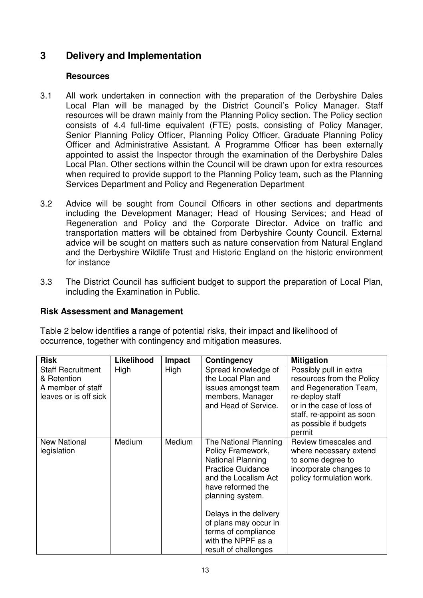# **3 Delivery and Implementation**

#### **Resources**

- 3.1 All work undertaken in connection with the preparation of the Derbyshire Dales Local Plan will be managed by the District Council's Policy Manager. Staff resources will be drawn mainly from the Planning Policy section. The Policy section consists of 4.4 full-time equivalent (FTE) posts, consisting of Policy Manager, Senior Planning Policy Officer, Planning Policy Officer, Graduate Planning Policy Officer and Administrative Assistant. A Programme Officer has been externally appointed to assist the Inspector through the examination of the Derbyshire Dales Local Plan. Other sections within the Council will be drawn upon for extra resources when required to provide support to the Planning Policy team, such as the Planning Services Department and Policy and Regeneration Department
- 3.2 Advice will be sought from Council Officers in other sections and departments including the Development Manager; Head of Housing Services; and Head of Regeneration and Policy and the Corporate Director. Advice on traffic and transportation matters will be obtained from Derbyshire County Council. External advice will be sought on matters such as nature conservation from Natural England and the Derbyshire Wildlife Trust and Historic England on the historic environment for instance
- 3.3 The District Council has sufficient budget to support the preparation of Local Plan, including the Examination in Public.

# **Risk Assessment and Management**

Table 2 below identifies a range of potential risks, their impact and likelihood of occurrence, together with contingency and mitigation measures.

| <b>Risk</b>                                                                           | Likelihood | <b>Impact</b> | <b>Contingency</b>                                                                                                                                                                                                                                                                          | <b>Mitigation</b>                                                                                                                                                                              |
|---------------------------------------------------------------------------------------|------------|---------------|---------------------------------------------------------------------------------------------------------------------------------------------------------------------------------------------------------------------------------------------------------------------------------------------|------------------------------------------------------------------------------------------------------------------------------------------------------------------------------------------------|
| <b>Staff Recruitment</b><br>& Retention<br>A member of staff<br>leaves or is off sick | High       | High          | Spread knowledge of<br>the Local Plan and<br>issues amongst team<br>members, Manager<br>and Head of Service.                                                                                                                                                                                | Possibly pull in extra<br>resources from the Policy<br>and Regeneration Team,<br>re-deploy staff<br>or in the case of loss of<br>staff, re-appoint as soon<br>as possible if budgets<br>permit |
| <b>New National</b><br>legislation                                                    | Medium     | Medium        | The National Planning<br>Policy Framework,<br><b>National Planning</b><br><b>Practice Guidance</b><br>and the Localism Act<br>have reformed the<br>planning system.<br>Delays in the delivery<br>of plans may occur in<br>terms of compliance<br>with the NPPF as a<br>result of challenges | Review timescales and<br>where necessary extend<br>to some degree to<br>incorporate changes to<br>policy formulation work.                                                                     |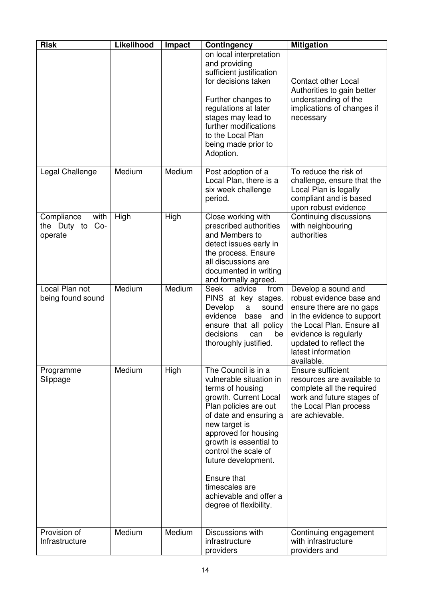| <b>Risk</b>                                           | Likelihood | <b>Impact</b> | <b>Contingency</b>                                                                                                                                                                                                                                                                                                                                    | <b>Mitigation</b>                                                                                                                                                                                                              |
|-------------------------------------------------------|------------|---------------|-------------------------------------------------------------------------------------------------------------------------------------------------------------------------------------------------------------------------------------------------------------------------------------------------------------------------------------------------------|--------------------------------------------------------------------------------------------------------------------------------------------------------------------------------------------------------------------------------|
|                                                       |            |               | on local interpretation<br>and providing<br>sufficient justification<br>for decisions taken<br>Further changes to<br>regulations at later<br>stages may lead to<br>further modifications<br>to the Local Plan<br>being made prior to<br>Adoption.                                                                                                     | <b>Contact other Local</b><br>Authorities to gain better<br>understanding of the<br>implications of changes if<br>necessary                                                                                                    |
| Legal Challenge                                       | Medium     | Medium        | Post adoption of a<br>Local Plan, there is a<br>six week challenge<br>period.                                                                                                                                                                                                                                                                         | To reduce the risk of<br>challenge, ensure that the<br>Local Plan is legally<br>compliant and is based<br>upon robust evidence                                                                                                 |
| with<br>Compliance<br>the Duty to<br>$Co-$<br>operate | High       | High          | Close working with<br>prescribed authorities<br>and Members to<br>detect issues early in<br>the process. Ensure<br>all discussions are<br>documented in writing<br>and formally agreed.                                                                                                                                                               | Continuing discussions<br>with neighbouring<br>authorities                                                                                                                                                                     |
| Local Plan not<br>being found sound                   | Medium     | Medium        | <b>Seek</b><br>advice<br>from<br>PINS at key stages.<br>Develop<br>a<br>sound<br>evidence<br>base<br>and<br>ensure that all policy<br>decisions<br>be<br>can<br>thoroughly justified.                                                                                                                                                                 | Develop a sound and<br>robust evidence base and<br>ensure there are no gaps<br>in the evidence to support<br>the Local Plan. Ensure all<br>evidence is regularly<br>updated to reflect the<br>latest information<br>available. |
| Programme<br>Slippage                                 | Medium     | High          | The Council is in a<br>vulnerable situation in<br>terms of housing<br>growth. Current Local<br>Plan policies are out<br>of date and ensuring a<br>new target is<br>approved for housing<br>growth is essential to<br>control the scale of<br>future development.<br>Ensure that<br>timescales are<br>achievable and offer a<br>degree of flexibility. | Ensure sufficient<br>resources are available to<br>complete all the required<br>work and future stages of<br>the Local Plan process<br>are achievable.                                                                         |
| Provision of<br>Infrastructure                        | Medium     | Medium        | Discussions with<br>infrastructure<br>providers                                                                                                                                                                                                                                                                                                       | Continuing engagement<br>with infrastructure<br>providers and                                                                                                                                                                  |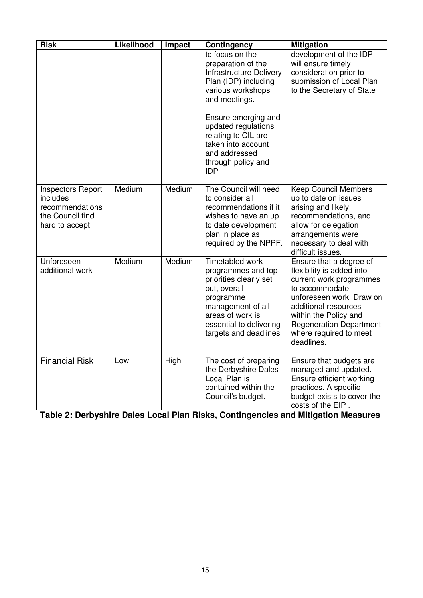| <b>Risk</b>                                                                                   | Likelihood | Impact | Contingency                                                                                                                                                                               | <b>Mitigation</b>                                                                                                                                                                                                                                        |
|-----------------------------------------------------------------------------------------------|------------|--------|-------------------------------------------------------------------------------------------------------------------------------------------------------------------------------------------|----------------------------------------------------------------------------------------------------------------------------------------------------------------------------------------------------------------------------------------------------------|
|                                                                                               |            |        | to focus on the<br>preparation of the<br><b>Infrastructure Delivery</b><br>Plan (IDP) including<br>various workshops<br>and meetings.<br>Ensure emerging and                              | development of the IDP<br>will ensure timely<br>consideration prior to<br>submission of Local Plan<br>to the Secretary of State                                                                                                                          |
|                                                                                               |            |        | updated regulations<br>relating to CIL are<br>taken into account<br>and addressed<br>through policy and<br><b>IDP</b>                                                                     |                                                                                                                                                                                                                                                          |
| <b>Inspectors Report</b><br>includes<br>recommendations<br>the Council find<br>hard to accept | Medium     | Medium | The Council will need<br>to consider all<br>recommendations if it<br>wishes to have an up<br>to date development<br>plan in place as<br>required by the NPPF.                             | <b>Keep Council Members</b><br>up to date on issues<br>arising and likely<br>recommendations, and<br>allow for delegation<br>arrangements were<br>necessary to deal with<br>difficult issues.                                                            |
| Unforeseen<br>additional work                                                                 | Medium     | Medium | Timetabled work<br>programmes and top<br>priorities clearly set<br>out, overall<br>programme<br>management of all<br>areas of work is<br>essential to delivering<br>targets and deadlines | Ensure that a degree of<br>flexibility is added into<br>current work programmes<br>to accommodate<br>unforeseen work. Draw on<br>additional resources<br>within the Policy and<br><b>Regeneration Department</b><br>where required to meet<br>deadlines. |
| <b>Financial Risk</b>                                                                         | Low        | High   | The cost of preparing<br>the Derbyshire Dales<br>Local Plan is<br>contained within the<br>Council's budget.                                                                               | Ensure that budgets are<br>managed and updated.<br>Ensure efficient working<br>practices. A specific<br>budget exists to cover the<br>costs of the EIP.                                                                                                  |

| Table 2: Derbyshire Dales Local Plan Risks, Contingencies and Mitigation Measures |  |  |
|-----------------------------------------------------------------------------------|--|--|
|                                                                                   |  |  |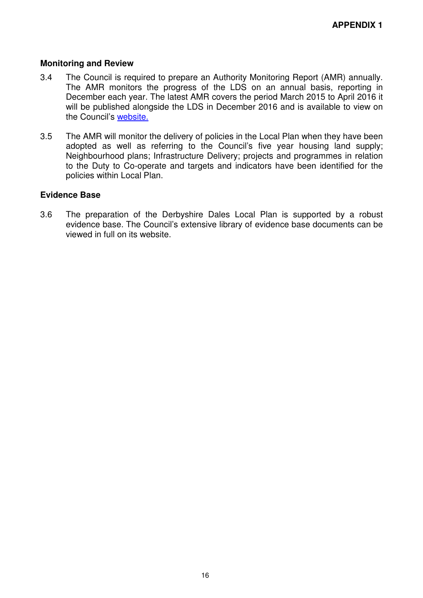#### **Monitoring and Review**

- 3.4 The Council is required to prepare an Authority Monitoring Report (AMR) annually. The AMR monitors the progress of the LDS on an annual basis, reporting in December each year. The latest AMR covers the period March 2015 to April 2016 it will be published alongside the LDS in December 2016 and is available to view on the Council's website.
- 3.5 The AMR will monitor the delivery of policies in the Local Plan when they have been adopted as well as referring to the Council's five year housing land supply; Neighbourhood plans; Infrastructure Delivery; projects and programmes in relation to the Duty to Co-operate and targets and indicators have been identified for the policies within Local Plan.

#### **Evidence Base**

3.6 The preparation of the Derbyshire Dales Local Plan is supported by a robust evidence base. The Council's extensive library of evidence base documents can be viewed in full on its website.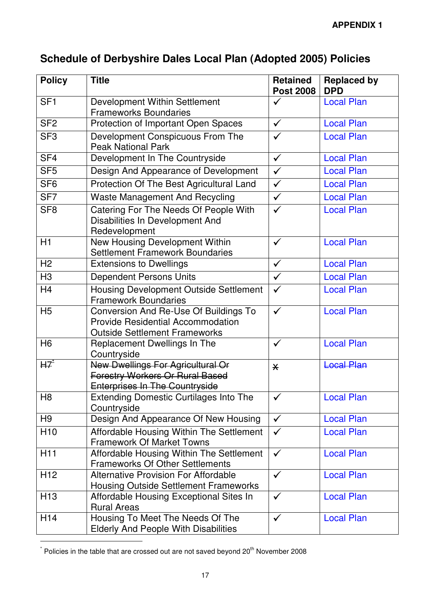# **Schedule of Derbyshire Dales Local Plan (Adopted 2005) Policies**

| <b>Policy</b>   | <b>Title</b>                                                                                                                     | <b>Retained</b><br><b>Post 2008</b> | <b>Replaced by</b><br><b>DPD</b> |
|-----------------|----------------------------------------------------------------------------------------------------------------------------------|-------------------------------------|----------------------------------|
| SF <sub>1</sub> | Development Within Settlement<br><b>Frameworks Boundaries</b>                                                                    | $\checkmark$                        | <b>Local Plan</b>                |
| SF <sub>2</sub> | Protection of Important Open Spaces                                                                                              | $\checkmark$                        | <b>Local Plan</b>                |
| SF <sub>3</sub> | Development Conspicuous From The<br><b>Peak National Park</b>                                                                    | $\checkmark$                        | <b>Local Plan</b>                |
| SF <sub>4</sub> | Development In The Countryside                                                                                                   | $\checkmark$                        | <b>Local Plan</b>                |
| SF <sub>5</sub> | Design And Appearance of Development                                                                                             | $\checkmark$                        | <b>Local Plan</b>                |
| SF <sub>6</sub> | Protection Of The Best Agricultural Land                                                                                         | $\checkmark$                        | <b>Local Plan</b>                |
| SF <sub>7</sub> | <b>Waste Management And Recycling</b>                                                                                            | $\checkmark$                        | <b>Local Plan</b>                |
| SF <sub>8</sub> | Catering For The Needs Of People With<br><b>Disabilities In Development And</b><br>Redevelopment                                 | $\checkmark$                        | <b>Local Plan</b>                |
| H1              | New Housing Development Within<br><b>Settlement Framework Boundaries</b>                                                         | $\checkmark$                        | <b>Local Plan</b>                |
| H <sub>2</sub>  | <b>Extensions to Dwellings</b>                                                                                                   | $\checkmark$                        | <b>Local Plan</b>                |
| H <sub>3</sub>  | <b>Dependent Persons Units</b>                                                                                                   | $\checkmark$                        | <b>Local Plan</b>                |
| H <sub>4</sub>  | Housing Development Outside Settlement<br><b>Framework Boundaries</b>                                                            | $\checkmark$                        | <b>Local Plan</b>                |
| H <sub>5</sub>  | <b>Conversion And Re-Use Of Buildings To</b><br><b>Provide Residential Accommodation</b><br><b>Outside Settlement Frameworks</b> | $\checkmark$                        | <b>Local Plan</b>                |
| H <sub>6</sub>  | Replacement Dwellings In The<br>Countryside                                                                                      | $\checkmark$                        | <b>Local Plan</b>                |
| H7              | <b>New Dwellings For Agricultural Or</b><br><b>Forestry Workers Or Rural Based</b><br><b>Enterprises In The Countryside</b>      | $\overline{\mathsf{X}}$             | <b>Local Plan</b>                |
| H <sub>8</sub>  | <b>Extending Domestic Curtilages Into The</b><br>Countryside                                                                     | $\checkmark$                        | <b>Local Plan</b>                |
| H <sub>9</sub>  | Design And Appearance Of New Housing                                                                                             | $\checkmark$                        | <b>Local Plan</b>                |
| H <sub>10</sub> | Affordable Housing Within The Settlement<br><b>Framework Of Market Towns</b>                                                     | $\checkmark$                        | <b>Local Plan</b>                |
| H <sub>11</sub> | Affordable Housing Within The Settlement<br><b>Frameworks Of Other Settlements</b>                                               | $\checkmark$                        | <b>Local Plan</b>                |
| H <sub>12</sub> | <b>Alternative Provision For Affordable</b><br><b>Housing Outside Settlement Frameworks</b>                                      | $\checkmark$                        | <b>Local Plan</b>                |
| H <sub>13</sub> | Affordable Housing Exceptional Sites In<br><b>Rural Areas</b>                                                                    | $\checkmark$                        | <b>Local Plan</b>                |
| H <sub>14</sub> | Housing To Meet The Needs Of The<br><b>Elderly And People With Disabilities</b>                                                  | $\checkmark$                        | <b>Local Plan</b>                |

 $^{*}$  Policies in the table that are crossed out are not saved beyond 20<sup>th</sup> November 2008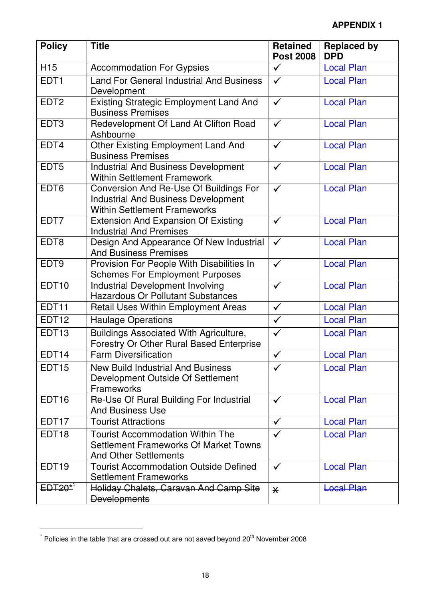| <b>Policy</b>     | <b>Title</b>                                                                                                                | <b>Retained</b><br><b>Post 2008</b> | <b>Replaced by</b><br><b>DPD</b> |
|-------------------|-----------------------------------------------------------------------------------------------------------------------------|-------------------------------------|----------------------------------|
| H <sub>15</sub>   | <b>Accommodation For Gypsies</b>                                                                                            | $\checkmark$                        | <b>Local Plan</b>                |
| EDT <sub>1</sub>  | <b>Land For General Industrial And Business</b><br>Development                                                              | $\checkmark$                        | <b>Local Plan</b>                |
| EDT <sub>2</sub>  | <b>Existing Strategic Employment Land And</b><br><b>Business Premises</b>                                                   | $\checkmark$                        | <b>Local Plan</b>                |
| EDT <sub>3</sub>  | Redevelopment Of Land At Clifton Road<br>Ashbourne                                                                          | $\checkmark$                        | <b>Local Plan</b>                |
| EDT4              | <b>Other Existing Employment Land And</b><br><b>Business Premises</b>                                                       | $\checkmark$                        | <b>Local Plan</b>                |
| EDT <sub>5</sub>  | <b>Industrial And Business Development</b><br><b>Within Settlement Framework</b>                                            | $\checkmark$                        | <b>Local Plan</b>                |
| EDT <sub>6</sub>  | Conversion And Re-Use Of Buildings For<br><b>Industrial And Business Development</b><br><b>Within Settlement Frameworks</b> | $\checkmark$                        | <b>Local Plan</b>                |
| EDT7              | <b>Extension And Expansion Of Existing</b><br><b>Industrial And Premises</b>                                                | $\checkmark$                        | <b>Local Plan</b>                |
| EDT8              | Design And Appearance Of New Industrial<br><b>And Business Premises</b>                                                     | $\checkmark$                        | <b>Local Plan</b>                |
| EDT9              | Provision For People With Disabilities In<br><b>Schemes For Employment Purposes</b>                                         | $\checkmark$                        | <b>Local Plan</b>                |
| EDT <sub>10</sub> | <b>Industrial Development Involving</b><br><b>Hazardous Or Pollutant Substances</b>                                         | $\checkmark$                        | <b>Local Plan</b>                |
| EDT11             | Retail Uses Within Employment Areas                                                                                         | $\checkmark$                        | <b>Local Plan</b>                |
| EDT <sub>12</sub> | <b>Haulage Operations</b>                                                                                                   | $\checkmark$                        | <b>Local Plan</b>                |
| EDT <sub>13</sub> | Buildings Associated With Agriculture,<br>Forestry Or Other Rural Based Enterprise                                          | $\checkmark$                        | <b>Local Plan</b>                |
| EDT14             | <b>Farm Diversification</b>                                                                                                 | $\checkmark$                        | <b>Local Plan</b>                |
| EDT <sub>15</sub> | <b>New Build Industrial And Business</b><br>Development Outside Of Settlement<br>Frameworks                                 | ✓                                   | <b>Local Plan</b>                |
| EDT <sub>16</sub> | Re-Use Of Rural Building For Industrial<br><b>And Business Use</b>                                                          | $\checkmark$                        | <b>Local Plan</b>                |
| EDT <sub>17</sub> | <b>Tourist Attractions</b>                                                                                                  | $\checkmark$                        | <b>Local Plan</b>                |
| EDT <sub>18</sub> | <b>Tourist Accommodation Within The</b><br><b>Settlement Frameworks Of Market Towns</b><br><b>And Other Settlements</b>     | $\checkmark$                        | <b>Local Plan</b>                |
| EDT <sub>19</sub> | <b>Tourist Accommodation Outside Defined</b><br><b>Settlement Frameworks</b>                                                | $\checkmark$                        | <b>Local Plan</b>                |
| $EDT20*^2$        | Holiday Chalets, Caravan And Camp Site<br><b>Developments</b>                                                               | $\overline{\mathsf{X}}$             | <b>Local Plan</b>                |

 $^*$  Policies in the table that are crossed out are not saved beyond 20<sup>th</sup> November 2008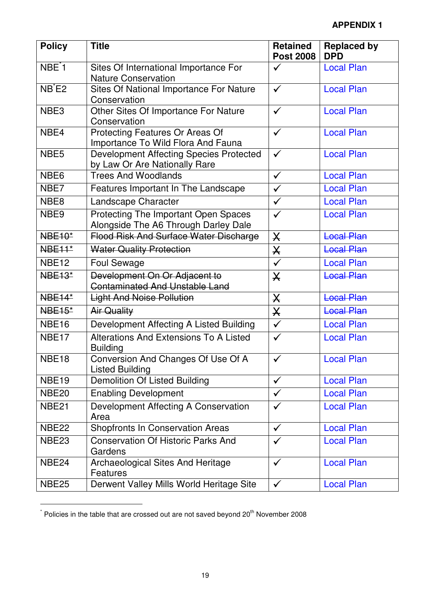| <b>Policy</b>      | <b>Title</b>                                                                    | <b>Retained</b><br><b>Post 2008</b> | <b>Replaced by</b><br><b>DPD</b> |
|--------------------|---------------------------------------------------------------------------------|-------------------------------------|----------------------------------|
| NBE <sup>*</sup> 1 | Sites Of International Importance For<br><b>Nature Conservation</b>             | $\checkmark$                        | <b>Local Plan</b>                |
| $NB$ $E2$          | Sites Of National Importance For Nature<br>Conservation                         | $\checkmark$                        | <b>Local Plan</b>                |
| NBE <sub>3</sub>   | Other Sites Of Importance For Nature<br>Conservation                            | $\checkmark$                        | <b>Local Plan</b>                |
| NBE4               | Protecting Features Or Areas Of<br>Importance To Wild Flora And Fauna           | $\checkmark$                        | <b>Local Plan</b>                |
| NBE <sub>5</sub>   | <b>Development Affecting Species Protected</b><br>by Law Or Are Nationally Rare | $\checkmark$                        | <b>Local Plan</b>                |
| NBE <sub>6</sub>   | <b>Trees And Woodlands</b>                                                      | $\checkmark$                        | <b>Local Plan</b>                |
| NBE7               | Features Important In The Landscape                                             | $\checkmark$                        | <b>Local Plan</b>                |
| NBE <sub>8</sub>   | Landscape Character                                                             | $\checkmark$                        | <b>Local Plan</b>                |
| NBE9               | Protecting The Important Open Spaces<br>Alongside The A6 Through Darley Dale    | $\checkmark$                        | <b>Local Plan</b>                |
| <b>NBE10*</b>      | <b>Flood Risk And Surface Water Discharge</b>                                   | $\mathsf{X}$                        | <b>Local Plan</b>                |
| <b>NBE11*</b>      | <b>Water Quality Protection</b>                                                 | $\boldsymbol{\mathsf{X}}$           | <b>Local Plan</b>                |
| <b>NBE12</b>       | <b>Foul Sewage</b>                                                              | $\checkmark$                        | <b>Local Plan</b>                |
| <b>NBE13*</b>      | Development On Or Adjacent to<br><b>Contaminated And Unstable Land</b>          | $\overline{\mathsf{X}}$             | <b>Local Plan</b>                |
| <b>NBE14*</b>      | <b>Light And Noise Pollution</b>                                                | $\mathsf{X}$                        | <b>Local Plan</b>                |
| <b>NBE15*</b>      | <b>Air Quality</b>                                                              | $\boldsymbol{\times}$               | <b>Local Plan</b>                |
| <b>NBE16</b>       | Development Affecting A Listed Building                                         | $\checkmark$                        | <b>Local Plan</b>                |
| NBE <sub>17</sub>  | <b>Alterations And Extensions To A Listed</b><br><b>Building</b>                | ✓                                   | <b>Local Plan</b>                |
| NBE18              | Conversion And Changes Of Use Of A<br><b>Listed Building</b>                    | ✓                                   | <b>Local Plan</b>                |
| <b>NBE19</b>       | <b>Demolition Of Listed Building</b>                                            | $\checkmark$                        | <b>Local Plan</b>                |
| NBE <sub>20</sub>  | <b>Enabling Development</b>                                                     | $\checkmark$                        | <b>Local Plan</b>                |
| <b>NBE21</b>       | Development Affecting A Conservation<br>Area                                    | $\checkmark$                        | <b>Local Plan</b>                |
| NBE <sub>22</sub>  | <b>Shopfronts In Conservation Areas</b>                                         | $\checkmark$                        | <b>Local Plan</b>                |
| <b>NBE23</b>       | <b>Conservation Of Historic Parks And</b><br>Gardens                            | $\checkmark$                        | <b>Local Plan</b>                |
| NBE <sub>24</sub>  | Archaeological Sites And Heritage<br>Features                                   | $\checkmark$                        | <b>Local Plan</b>                |
| <b>NBE25</b>       | Derwent Valley Mills World Heritage Site                                        | $\checkmark$                        | <b>Local Plan</b>                |

 $^{*}$  Policies in the table that are crossed out are not saved beyond 20<sup>th</sup> November 2008

l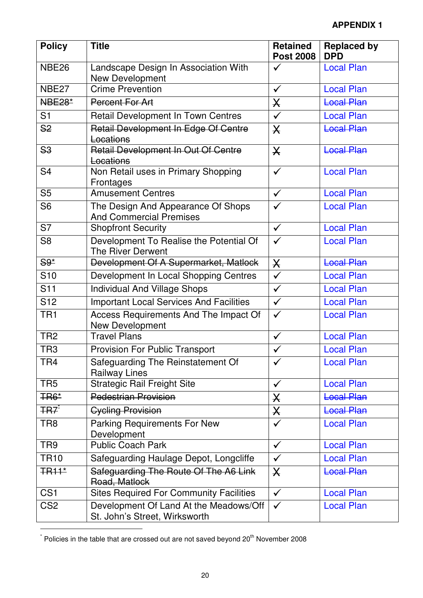| <b>Policy</b>                | <b>Title</b>                                                            | <b>Retained</b><br><b>Post 2008</b> | <b>Replaced by</b><br><b>DPD</b> |
|------------------------------|-------------------------------------------------------------------------|-------------------------------------|----------------------------------|
| <b>NBE26</b>                 | Landscape Design In Association With<br>New Development                 | $\checkmark$                        | <b>Local Plan</b>                |
| NBE <sub>27</sub>            | <b>Crime Prevention</b>                                                 | $\checkmark$                        | <b>Local Plan</b>                |
| <b>NBE28*</b>                | Percent For Art                                                         | $\boldsymbol{\times}$               | <b>Local Plan</b>                |
| S <sub>1</sub>               | Retail Development In Town Centres                                      | $\checkmark$                        | <b>Local Plan</b>                |
| S <sub>2</sub>               | Retail Development In Edge Of Centre<br>Locations                       | $\mathsf{X}$                        | <b>Local Plan</b>                |
| S <sub>3</sub>               | Retail Development In Out Of Centre<br>Locations                        | $\overline{\mathsf{X}}$             | <b>Local Plan</b>                |
| S <sub>4</sub>               | Non Retail uses in Primary Shopping<br>Frontages                        | $\checkmark$                        | <b>Local Plan</b>                |
| S <sub>5</sub>               | <b>Amusement Centres</b>                                                | $\checkmark$                        | <b>Local Plan</b>                |
| S <sub>6</sub>               | The Design And Appearance Of Shops<br><b>And Commercial Premises</b>    | $\checkmark$                        | <b>Local Plan</b>                |
| S7                           | <b>Shopfront Security</b>                                               | $\checkmark$                        | <b>Local Plan</b>                |
| S <sub>8</sub>               | Development To Realise the Potential Of<br><b>The River Derwent</b>     | $\checkmark$                        | <b>Local Plan</b>                |
| $S9*$                        | Development Of A Supermarket, Matlock                                   | $\boldsymbol{\mathsf{X}}$           | <b>Local Plan</b>                |
| S <sub>10</sub>              | Development In Local Shopping Centres                                   | $\checkmark$                        | <b>Local Plan</b>                |
| S <sub>11</sub>              | <b>Individual And Village Shops</b>                                     | $\checkmark$                        | <b>Local Plan</b>                |
| S <sub>12</sub>              | <b>Important Local Services And Facilities</b>                          | $\checkmark$                        | <b>Local Plan</b>                |
| TR <sub>1</sub>              | Access Requirements And The Impact Of<br><b>New Development</b>         | $\checkmark$                        | <b>Local Plan</b>                |
| TR <sub>2</sub>              | <b>Travel Plans</b>                                                     | $\checkmark$                        | <b>Local Plan</b>                |
| TR <sub>3</sub>              | <b>Provision For Public Transport</b>                                   | $\checkmark$                        | <b>Local Plan</b>                |
| TR <sub>4</sub>              | Safeguarding The Reinstatement Of<br><b>Railway Lines</b>               | $\checkmark$                        | <b>Local Plan</b>                |
| TR <sub>5</sub>              | <b>Strategic Rail Freight Site</b>                                      | $\checkmark$                        | <b>Local Plan</b>                |
| <b>TR6*</b>                  | <b>Pedestrian Provision</b>                                             | $\pmb{\times}$                      | <b>Local Plan</b>                |
| <del>TR</del> 7 <sup>*</sup> | <b>Cycling Provision</b>                                                | $\mathsf{X}% _{T}$                  | <b>Local Plan</b>                |
| TR <sub>8</sub>              | <b>Parking Requirements For New</b><br>Development                      | $\checkmark$                        | <b>Local Plan</b>                |
| TR <sub>9</sub>              | <b>Public Coach Park</b>                                                | $\checkmark$                        | <b>Local Plan</b>                |
| <b>TR10</b>                  | Safeguarding Haulage Depot, Longcliffe                                  | $\checkmark$                        | <b>Local Plan</b>                |
| <b>TR11*</b>                 | Safeguarding The Route Of The A6 Link<br>Road, Matlock                  | $\mathsf{X}$                        | <b>Local Plan</b>                |
| CS <sub>1</sub>              | <b>Sites Required For Community Facilities</b>                          | $\checkmark$                        | <b>Local Plan</b>                |
| CS <sub>2</sub>              | Development Of Land At the Meadows/Off<br>St. John's Street, Wirksworth | $\checkmark$                        | <b>Local Plan</b>                |

 $^*$  Policies in the table that are crossed out are not saved beyond 20<sup>th</sup> November 2008